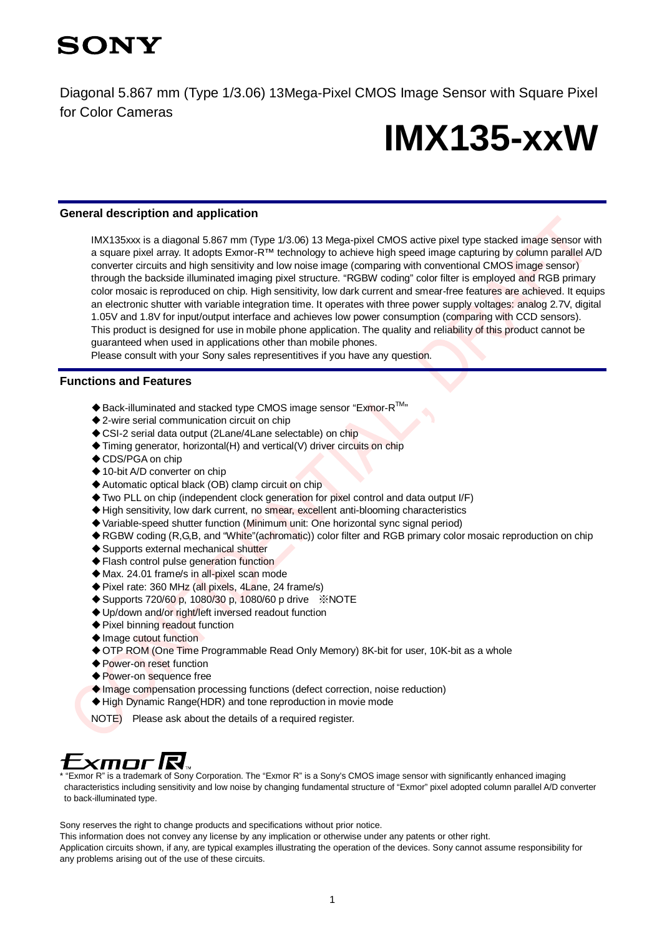

Diagonal 5.867 mm (Type 1/3.06) 13Mega-Pixel CMOS Image Sensor with Square Pixel for Color Cameras

# **IMX135-xxW**

#### **General description and application**

IMX135xxx is a diagonal 5.867 mm (Type 1/3.06) 13 Mega-pixel CMOS active pixel type stacked image sensor with a square pixel array. It adopts Exmor-R™ technology to achieve high speed image capturing by column parallel A/D converter circuits and high sensitivity and low noise image (comparing with conventional CMOS image sensor) through the backside illuminated imaging pixel structure. "RGBW coding" color filter is employed and RGB primary color mosaic is reproduced on chip. High sensitivity, low dark current and smear-free features are achieved. It equips an electronic shutter with variable integration time. It operates with three power supply voltages: analog 2.7V, digital 1.05V and 1.8V for input/output interface and achieves low power consumption (comparing with CCD sensors). This product is designed for use in mobile phone application. The quality and reliability of this product cannot be guaranteed when used in applications other than mobile phones.

Please consult with your Sony sales representitives if you have any question.

### **Functions and Features**

- $\blacklozenge$  Back-illuminated and stacked type CMOS image sensor "Exmor-R $^{TM}$ "
- ◆2-wire serial communication circuit on chip
- ◆ CSI-2 serial data output (2Lane/4Lane selectable) on chip
- ◆ Timing generator, horizontal(H) and vertical(V) driver circuits on chip
- ◆ CDS/PGA on chip
- ◆ 10-bit A/D converter on chip
- ◆ Automatic optical black (OB) clamp circuit on chip
- ◆ Two PLL on chip (independent clock generation for pixel control and data output I/F)
- ◆ High sensitivity, low dark current, no smear, excellent anti-blooming characteristics
- ◆ Variable-speed shutter function (Minimum unit: One horizontal sync signal period)
- ◆RGBW coding (R,G,B, and "White"(achromatic)) color filter and RGB primary color mosaic reproduction on chip
- ◆ Supports external mechanical shutter
- ◆ Flash control pulse generation function
- ◆ Max. 24.01 frame/s in all-pixel scan mode
- ◆ Pixel rate: 360 MHz (all pixels, 4Lane, 24 frame/s)
- ◆ Supports 720/60 p, 1080/30 p, 1080/60 p drive ※NOTE
- ◆ Up/down and/or right/left inversed readout function
- ◆Pixel binning readout function
- ◆Image cutout function
- ◆ OTP ROM (One Time Programmable Read Only Memory) 8K-bit for user, 10K-bit as a whole
- ◆ Power-on reset function
- ◆ Power-on sequence free
- ◆ Image compensation processing functions (defect correction, noise reduction)
- ◆High Dynamic Range(HDR) and tone reproduction in movie mode
- NOTE) Please ask about the details of a required register.

# Exmor R.

\* "Exmor R" is a trademark of Sony Corporation. The "Exmor R" is a Sony's CMOS image sensor with significantly enhanced imaging characteristics including sensitivity and low noise by changing fundamental structure of "Exmor" pixel adopted column parallel A/D converter to back-illuminated type.

Sony reserves the right to change products and specifications without prior notice.

This information does not convey any license by any implication or otherwise under any patents or other right. Application circuits shown, if any, are typical examples illustrating the operation of the devices. Sony cannot assume responsibility for any problems arising out of the use of these circuits.